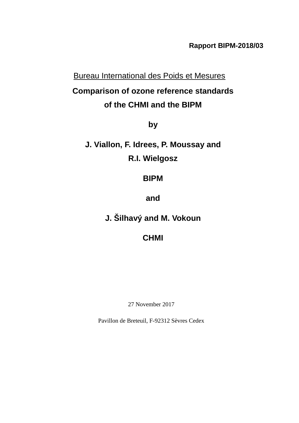**Rapport BIPM-2018/03**

Bureau International des Poids et Mesures

# **Comparison of ozone reference standards of the CHMI and the BIPM**

**by**

**J. Viallon, F. Idrees, P. Moussay and R.I. Wielgosz**

**BIPM**

**and**

**J. Šilhavý and M. Vokoun**

**CHMI**

27 November 2017

Pavillon de Breteuil, F-92312 Sèvres Cedex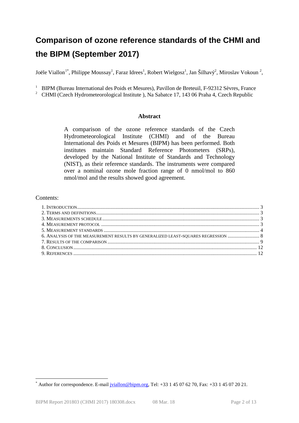# **Comparison of ozone reference standards of the CHMI and the BIPM (September 2017)**

Joële Viallon<sup>[1](#page-1-2)\*</sup>, Philippe Moussay<sup>1</sup>, Faraz Idrees<sup>1</sup>, Robert Wielgosz<sup>1</sup>, Jan Šilhavý<sup>2</sup>, Miroslav Vokoun<sup>2</sup>,

<sup>1</sup> BIPM (Bureau International des Poids et Mesures), Pavillon de Breteuil, F-92312 Sèvres, France

<span id="page-1-1"></span><sup>2</sup> [CHMI](#page-1-0) (Czech Hydrometeorological Institute ), Na Sabatce 17, 143 06 Praha 4, Czech Republic

### <span id="page-1-0"></span>**Abstract**

A comparison of the ozone reference standards of the [Czech](#page-1-1)  [Hydrometeorological Institute](#page-1-1) [\(CHMI\)](#page-1-0) and of the Bureau International des Poids et Mesures (BIPM) has been performed. Both institutes maintain Standard Reference Photometers (SRPs), developed by the National Institute of Standards and Technology (NIST), as their reference standards. The instruments were compared over a nominal ozone mole fraction range of 0 nmol/mol to 860 nmol/mol and the results showed good agreement.

### Contents:

| 6. ANALYSIS OF THE MEASUREMENT RESULTS BY GENERALIZED LEAST-SQUARES REGRESSION  8 |  |
|-----------------------------------------------------------------------------------|--|
|                                                                                   |  |
|                                                                                   |  |
|                                                                                   |  |

<span id="page-1-2"></span>Author for correspondence. E-mail [jviallon@bipm.org,](mailto:jviallon@bipm.org) Tel: +33 1 45 07 62 70, Fax: +33 1 45 07 20 21.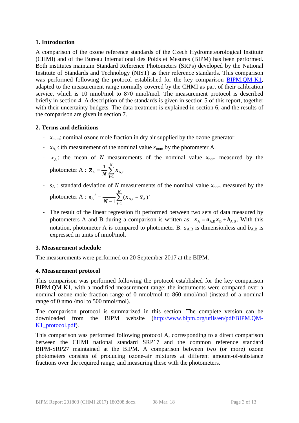## **1. Introduction**

A comparison of the ozone reference standards of the [Czech Hydrometeorological Institute](#page-1-1) [\(CHMI\)](#page-1-0) and of the Bureau International des Poids et Mesures (BIPM) has been performed. Both institutes maintain Standard Reference Photometers (SRPs) developed by the National Institute of Standards and Technology (NIST) as their reference standards. This comparison was performed following the protocol established for the key comparison [BIPM.QM-K1,](https://kcdb.bipm.org/appendixB/KCDB_ApB_info.asp?cmp_idy=733&cmp_cod=BIPM.QM-K1&prov=exalead) adapted to the measurement range normally covered by the CHMI as part of their calibration service, which is 10 nmol/mol to 870 nmol/mol. The measurement protocol is described briefly in section [4.](#page-2-0) A description of the standards is given in section [5](#page-3-0) of this report, together with their uncertainty budgets. The data treatment is explained in section [6,](#page-7-0) and the results of the comparison are given in section [7.](#page-8-0)

## **2. Terms and definitions**

- $x_{\text{nom}}$ : nominal ozone mole fraction in dry air supplied by the ozone generator.
- $x_{A,i}$ : *i*th measurement of the nominal value  $x_{\text{nom}}$  by the photometer A.

1

- $\bar{x}_A$ : the mean of *N* measurements of the nominal value  $x_{\text{nom}}$  measured by the photometer A :  $\bar{x}_A = \frac{1}{N} \sum_{i=1}^{N}$ *N*  $\overline{x}_{A} = \frac{1}{N} \sum_{i=1}^{N} x_{A,i}$  $A = \frac{1}{N} \sum A$ 1
- $s_A$ : standard deviation of *N* measurements of the nominal value  $x_{nom}$  measured by the photometer A :  $s_A^2 = \frac{1}{N-1} \sum_{i=1}^N (x_{A,i} -$ *N i*  $\frac{1}{N-1} \sum_{i=1}^{N} (x_{A,i} - \bar{x})$ *s* 1  $_{A,i}$  –  $\overline{x}_A$ )<sup>2</sup>  $A^{2} = \frac{1}{N-1} \sum_{i=1}^{N} (x_{A,i} - \overline{x}_{A})$
- The result of the linear regression fit performed between two sets of data measured by photometers A and B during a comparison is written as:  $x_A = a_{A,B} x_B + b_{A,B}$ . With this notation, photometer A is compared to photometer B.  $a_{AB}$  is dimensionless and  $b_{AB}$  is expressed in units of nmol/mol.

# **3. Measurement schedule**

The measurements were performed on 20 September 2017 at the BIPM.

# <span id="page-2-0"></span>**4. Measurement protocol**

This comparison was performed following the protocol established for the key comparison BIPM.QM-K1, with a modified measurement range: the instruments were compared over a nominal ozone mole fraction range of 0 nmol/mol to 860 nmol/mol (instead of a nominal range of 0 nmol/mol to 500 nmol/mol).

The comparison protocol is summarized in this section. The complete version can be downloaded from the BIPM website [\(http://www.bipm.org/utils/en/pdf/BIPM.QM-](http://www.bipm.org/utils/en/pdf/BIPM.QM-K1_protocol.pdf)K1 protocol.pdf).

<span id="page-2-1"></span>This comparison was performed following protocol A, corresponding to a direct comparison between the [CHMI](#page-1-0) national standard SRP17 and the common reference standard BIPM-SRP27 maintained at the BIPM. A comparison between two (or more) ozone photometers consists of producing ozone-air mixtures at different amount-of-substance fractions over the required range, and measuring these with the photometers.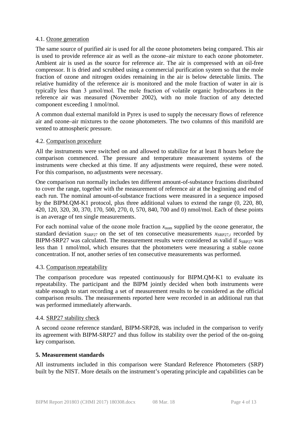## 4.1. Ozone generation

The same source of purified air is used for all the ozone photometers being compared. This air is used to provide reference air as well as the ozone–air mixture to each ozone photometer. Ambient air is used as the source for reference air. The air is compressed with an oil-free compressor. It is dried and scrubbed using a commercial purification system so that the mole fraction of ozone and nitrogen oxides remaining in the air is below detectable limits. The relative humidity of the reference air is monitored and the mole fraction of water in air is typically less than 3 μmol/mol. The mole fraction of volatile organic hydrocarbons in the reference air was measured (November 2002), with no mole fraction of any detected component exceeding 1 nmol/mol.

A common dual external manifold in Pyrex is used to supply the necessary flows of reference air and ozone–air mixtures to the ozone photometers. The two columns of this manifold are vented to atmospheric pressure.

## 4.2. Comparison procedure

All the instruments were switched on and allowed to stabilize for at least 8 hours before the comparison commenced. The pressure and temperature measurement systems of the instruments were checked at this time. If any adjustments were required, these were noted. For this comparison, no adjustments were necessary.

One comparison run normally includes ten different amount-of-substance fractions distributed to cover the range, together with the measurement of reference air at the beginning and end of each run. The nominal amount-of-substance fractions were measured in a sequence imposed by the BIPM.QM-K1 protocol, plus three additional values to extend the range (0, 220, 80, 420, 120, 320, 30, 370, 170, 500, 270, 0, 570, 840, 700 and 0) nmol/mol. Each of these points is an average of ten single measurements.

For each nominal value of the ozone mole fraction  $x_{\text{nom}}$  supplied by the ozone generator, the standard deviation  $S_{SRP27}$  on the set of ten consecutive measurements  $X_{SRP27i}$  recorded by BIPM-SRP27 was calculated. The measurement results were considered as valid if  $_{SRP27}$  was less than 1 nmol/mol, which ensures that the photometers were measuring a stable ozone concentration. If not, another series of ten consecutive measurements was performed.

# 4.3. Comparison repeatability

The comparison procedure was repeated continuously for BIPM.QM-K1 to evaluate its repeatability. The participant and the BIPM jointly decided when both instruments were stable enough to start recording a set of measurement results to be considered as the official comparison results. The measurements reported here were recorded in an additional run that was performed immediately afterwards.

# 4.4. SRP27 stability check

A second ozone reference standard, BIPM-SRP28, was included in the comparison to verify its agreement with BIPM-SRP27 and thus follow its stability over the period of the on-going key comparison.

# <span id="page-3-0"></span>**5. Measurement standards**

All instruments included in this comparison were Standard Reference Photometers (SRP) built by the NIST. More details on the instrument's operating principle and capabilities can be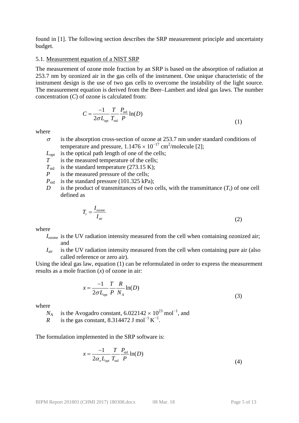found in [1]. The following section describes the SRP measurement principle and uncertainty budget.

#### 5.1. Measurement equation of a NIST SRP

The measurement of ozone mole fraction by an SRP is based on the absorption of radiation at 253.7 nm by ozonized air in the gas cells of the instrument. One unique characteristic of the instrument design is the use of two gas cells to overcome the instability of the light source. The measurement equation is derived from the Beer–Lambert and ideal gas laws. The number concentration (*C*) of ozone is calculated from:

$$
C = \frac{-1}{2\sigma L_{\text{opt}}} \frac{T}{T_{\text{std}}} \frac{P_{\text{std}}}{P} \ln(D) \tag{1}
$$

where

- $\sigma$  is the absorption cross-section of ozone at 253.7 nm under standard conditions of temperature and pressure,  $1.1476 \times 10^{-17}$  cm<sup>2</sup>/molecule [2];
- $L_{\text{opt}}$  is the optical path length of one of the cells;
- *T* is the measured temperature of the cells;
- $T_{std}$  is the standard temperature (273.15 K);
- *P* is the measured pressure of the cells;
- $P_{std}$  is the standard pressure (101.325 kPa);
- *D* is the product of transmittances of two cells, with the transmittance  $(T_r)$  of one cell defined as

$$
T_{\rm r} = \frac{I_{\rm ozone}}{I_{\rm air}}\tag{2}
$$

where

- *I*<sub>ozone</sub> is the UV radiation intensity measured from the cell when containing ozonized air; and
- $I_{\text{air}}$  is the UV radiation intensity measured from the cell when containing pure air (also called reference or zero air).

Using the ideal gas law, equation (1) can be reformulated in order to express the measurement results as a mole fraction (*x*) of ozone in air:

$$
x = \frac{-1}{2\sigma L_{\text{opt}}} \frac{T}{P} \frac{R}{N_A} \ln(D)
$$
\n(3)

where

 $N_A$  is the Avogadro constant, 6.022142 × 10<sup>23</sup> mol<sup>-1</sup>, and

*R* is the gas constant, 8.314472 J mol<sup>-1</sup> K<sup>-1</sup>.

The formulation implemented in the SRP software is:

$$
x = \frac{-1}{2\alpha_x L_{\text{opt}}} \frac{T}{T_{\text{std}}} \frac{P_{\text{std}}}{P} \ln(D)
$$
(4)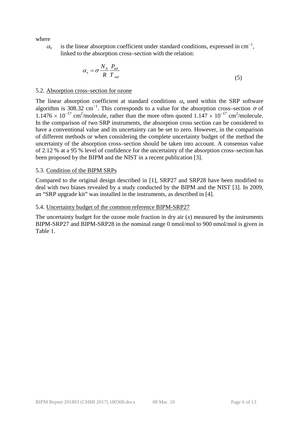where

 $\alpha_{x}$  is the linear absorption coefficient under standard conditions, expressed in cm<sup>-1</sup>, linked to the absorption cross–section with the relation:

$$
\alpha_{\rm x} = \sigma \frac{N_{\rm A}}{R} \frac{P_{\rm std}}{T_{\rm std}} \tag{5}
$$

#### 5.2. Absorption cross–section for ozone

The linear absorption coefficient at standard conditions  $\alpha_x$  used within the SRP software algorithm is 308.32 cm<sup>-1</sup>. This corresponds to a value for the absorption cross–section  $\sigma$  of  $1.1476 \times 10^{-17}$  cm<sup>2</sup>/molecule, rather than the more often quoted  $1.147 \times 10^{-17}$  cm<sup>2</sup>/molecule. In the comparison of two SRP instruments, the absorption cross section can be considered to have a conventional value and its uncertainty can be set to zero. However, in the comparison of different methods or when considering the complete uncertainty budget of the method the uncertainty of the absorption cross–section should be taken into account. A consensus value of 2.12 % at a 95 % level of confidence for the uncertainty of the absorption cross–section has been proposed by the BIPM and the NIST in a recent publication [3].

### 5.3. Condition of the BIPM SRPs

Compared to the original design described in [1], SRP27 and SRP28 have been modified to deal with two biases revealed by a study conducted by the BIPM and the NIST [3]. In 2009, an "SRP upgrade kit" was installed in the instruments, as described in [4].

### 5.4. Uncertainty budget of the common reference BIPM-SRP27

The uncertainty budget for the ozone mole fraction in dry air  $(x)$  measured by the instruments BIPM-SRP27 and BIPM-SRP28 in the nominal range 0 nmol/mol to 900 nmol/mol is given in [Table 1.](#page-6-0)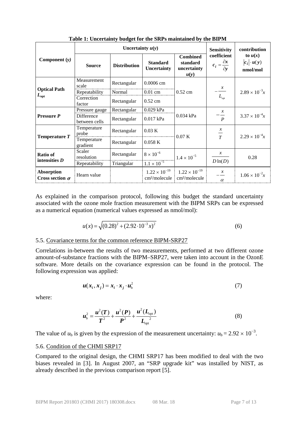<span id="page-6-0"></span>

|                                             |                             | Uncertainty $u(y)$  | <b>Sensitivity</b>                                                                   | contribution                                        |                                                      |                                             |
|---------------------------------------------|-----------------------------|---------------------|--------------------------------------------------------------------------------------|-----------------------------------------------------|------------------------------------------------------|---------------------------------------------|
| Component (y)                               | <b>Source</b>               | <b>Distribution</b> | <b>Combined</b><br><b>Standard</b><br>standard<br>Uncertainty<br>uncertainty<br>u(y) |                                                     | coefficient<br>$c_i = \frac{\partial x}{\partial y}$ | to $u(x)$<br>$ c_i  \cdot u(y)$<br>nmol/mol |
|                                             | Measurement<br>scale        | Rectangular         | 0.0006 cm                                                                            |                                                     | $\frac{x}{1}$<br>$L_{\rm_{opt}}$                     |                                             |
| <b>Optical Path</b>                         | Repeatability               | Normal              | $0.01$ cm                                                                            | $0.52$ cm                                           |                                                      | $2.89 \times 10^{-3}x$                      |
| $L_{\mathrm{opt}}$                          | Correction<br>factor        | Rectangular         | $0.52$ cm                                                                            |                                                     |                                                      |                                             |
| <b>Pressure P</b>                           | Pressure gauge              | Rectangular         | 0.029 kPa                                                                            |                                                     | $\mathcal{X}$<br>$\boldsymbol{P}$                    |                                             |
|                                             | Difference<br>between cells | Rectangular         | 0.017 kPa                                                                            | 0.034 kPa                                           |                                                      | $3.37 \times 10^{-4}x$                      |
| Temperature $T$                             | Temperature<br>probe        | Rectangular         | $0.03\text{ K}$<br>0.07K<br>0.058K                                                   |                                                     | $\boldsymbol{x}$<br>$\frac{1}{T}$                    | $2.29 \times 10^{-4}x$                      |
|                                             | Temperature<br>gradient     | Rectangular         |                                                                                      |                                                     |                                                      |                                             |
| Ratio of<br>intensities D                   | Scaler<br>resolution        | Rectangular         | $8 \times 10^{-6}$                                                                   | $1.4 \times 10^{-5}$                                | $\mathcal{X}$                                        | 0.28                                        |
|                                             | Repeatability               | Triangular          | $1.1 \times 10^{-5}$                                                                 |                                                     | $D\ln(D)$                                            |                                             |
| <b>Absorption</b><br>Cross section $\sigma$ | Hearn value                 |                     | $1.22 \times 10^{-19}$<br>cm <sup>2</sup> /molecule                                  | $1.22 \times 10^{-19}$<br>cm <sup>2</sup> /molecule | $\mathcal{X}$<br>$\alpha$                            | $1.06 \times 10^{-2}x$                      |

**Table 1: Uncertainty budget for the SRPs maintained by the BIPM**

As explained in the comparison protocol, following this budget the standard uncertainty associated with the ozone mole fraction measurement with the BIPM SRPs can be expressed as a numerical equation (numerical values expressed as nmol/mol):

$$
u(x) = \sqrt{(0.28)^2 + (2.92 \cdot 10^{-3} x)^2}
$$
 (6)

## 5.5. Covariance terms for the common reference BIPM-SRP27

Correlations in-between the results of two measurements, performed at two different ozone amount-of-substance fractions with the BIPM–SRP27, were taken into account in the OzonE software. More details on the covariance expression can be found in the protocol. The following expression was applied:

$$
u(x_i, x_j) = x_i \cdot x_j \cdot u_b^2 \tag{7}
$$

where:

$$
u_{\rm b}^2 = \frac{u^2(T)}{T^2} + \frac{u^2(P)}{P^2} + \frac{u^2(L_{\rm opt})}{L_{\rm opt}^2}
$$
 (8)

The value of  $u<sub>b</sub>$  is given by the expression of the measurement uncertainty:  $u<sub>b</sub> = 2.92 \times 10^{-3}$ .

#### 5.6. Condition of the [CHMI](#page-1-0) [SRP17](#page-2-1)

Compared to the original design, the [CHMI](#page-1-0) [SRP17](#page-2-1) has been modified to deal with the two biases revealed in [3]. In August 2007, an "SRP upgrade kit" was installed by NIST, as already described in the previous comparison report [5].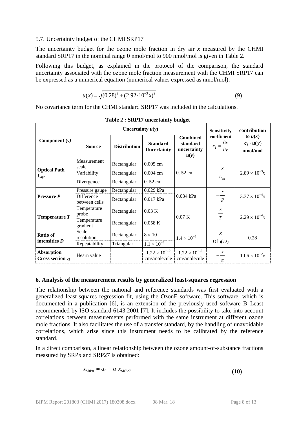## 5.7. Uncertainty budget of the [CHMI](#page-1-0) [SRP17](#page-2-1)

The uncertainty budget for the ozone mole fraction in dry air *x* measured by the CHMI standard SRP17 in the nominal range 0 nmol/mol to 900 nmol/mol is given in [Table 2.](#page-7-1)

Following this budget, as explained in the protocol of the comparison, the standard uncertainty associated with the ozone mole fraction measurement with the CHMI SRP17 can be expressed as a numerical equation (numerical values expressed as nmol/mol):

$$
u(x) = \sqrt{(0.28)^2 + (2.92 \cdot 10^{-3} x)^2}
$$
 (9)

No covariance term for the CHMI standard SRP17 was included in the calculations.

<span id="page-7-1"></span>

|                                               |                             | Uncertainty $u(y)$  | <b>Sensitivity</b>                                  | contribution                                        |                                                      |                                             |
|-----------------------------------------------|-----------------------------|---------------------|-----------------------------------------------------|-----------------------------------------------------|------------------------------------------------------|---------------------------------------------|
| Component $(y)$                               | <b>Source</b>               | <b>Distribution</b> | <b>Standard</b><br><b>Uncertainty</b>               | <b>Combined</b><br>standard<br>uncertainty<br>u(y)  | coefficient<br>$c_i = \frac{\partial x}{\partial y}$ | to $u(x)$<br>$ c_i  \cdot u(y)$<br>nmol/mol |
| <b>Optical Path</b><br>$\boldsymbol{L_{opt}}$ | Measurement<br>scale        | Rectangular         | $0.005$ cm                                          |                                                     | $\frac{x}{-}$                                        |                                             |
|                                               | Variability                 | Rectangular         | $0.004$ cm                                          | 0.52 cm                                             |                                                      | $2.89 \times 10^{-3}x$                      |
|                                               | Divergence                  | Rectangular         | 0.52 cm                                             |                                                     | $L_{_{opt}}$                                         |                                             |
| <b>Pressure P</b>                             | Pressure gauge              | Rectangular         | 0.029 kPa                                           |                                                     | $\mathcal{X}$<br>$\boldsymbol{P}$                    |                                             |
|                                               | Difference<br>between cells | Rectangular         | 0.017 kPa                                           | 0.034 kPa                                           |                                                      | $3.37 \times 10^{-4}x$                      |
| Temperature T                                 | Temperature<br>probe        | Rectangular         | $0.03\text{ K}$                                     | 0.07 K                                              | $\mathcal{X}$<br>$\frac{1}{T}$                       | $2.29 \times 10^{-4}x$                      |
|                                               | Temperature<br>gradient     | Rectangular         | 0.058K                                              |                                                     |                                                      |                                             |
| <b>Ratio of</b><br>intensities $D$            | Scaler<br>resolution        | Rectangular         | $8 \times 10^{-6}$                                  | $1.4 \times 10^{-5}$                                | $\mathcal{X}$                                        | 0.28                                        |
|                                               | Repeatability               | Triangular          | $1.1 \times 10^{-5}$                                |                                                     | $D\ln(D)$                                            |                                             |
| <b>Absorption</b><br>Cross section $\alpha$   | Hearn value                 |                     | $1.22 \times 10^{-19}$<br>cm <sup>2</sup> /molecule | $1.22 \times 10^{-19}$<br>cm <sup>2</sup> /molecule | $\alpha$                                             | $1.06 \times 10^{-2}x$                      |

**Table 2 : SRP17 uncertainty budget**

# <span id="page-7-0"></span>**6. Analysis of the measurement results by generalized least-squares regression**

The relationship between the national and reference standards was first evaluated with a generalized least-squares regression fit, using the OzonE software. This software, which is documented in a publication [6], is an extension of the previously used software B\_Least recommended by ISO standard 6143:2001 [7]. It includes the possibility to take into account correlations between measurements performed with the same instrument at different ozone mole fractions. It also facilitates the use of a transfer standard, by the handling of unavoidable correlations, which arise since this instrument needs to be calibrated by the reference standard.

In a direct comparison, a linear relationship between the ozone amount-of-substance fractions measured by SRP*n* and SRP27 is obtained:

$$
x_{\text{SRP}n} = a_0 + a_1 x_{\text{SRP}27} \tag{10}
$$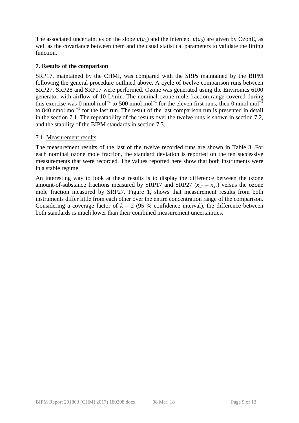The associated uncertainties on the slope  $u(a_1)$  and the intercept  $u(a_0)$  are given by OzonE, as well as the covariance between them and the usual statistical parameters to validate the fitting function.

# <span id="page-8-0"></span>**7. Results of the comparison**

SRP17, maintained by the CHMI, was compared with the SRPs maintained by the BIPM following the general procedure outlined above. A cycle of twelve comparison runs between SRP27, SRP28 and SRP17 were performed. Ozone was generated using the Environics 6100 generator with airflow of 10 L/min. The nominal ozone mole fraction range covered during this exercise was 0 nmol mol<sup>-1</sup> to 500 nmol mol<sup>-1</sup> for the eleven first runs, then 0 nmol mol<sup>-1</sup> to 840 nmol mol<sup>−</sup><sup>1</sup> for the last run. The result of the last comparison run is presented in detail in the section [7.1.](#page-8-1) The repeatability of the results over the twelve runs is shown in section [7.2,](#page-10-0) and the stability of the BIPM standards in section [7.3.](#page-10-1)

## <span id="page-8-1"></span>7.1. Measurement results

The measurement results of the last of the twelve recorded runs are shown in [Table 3.](#page-9-0) For each nominal ozone mole fraction, the standard deviation is reported on the ten successive measurements that were recorded. The values reported here show that both instruments were in a stable regime.

An interesting way to look at these results is to display the difference between the ozone amount-of-substance fractions measured by SRP17 and SRP27  $(x_{17} - x_{27})$  versus the ozone mole fraction measured by SRP27. [Figure 1,](#page-9-1) shows that measurement results from both instruments differ little from each other over the entire concentration range of the comparison. Considering a coverage factor of  $k = 2$  (95 % confidence interval), the difference between both standards is much lower than their combined measurement uncertainties.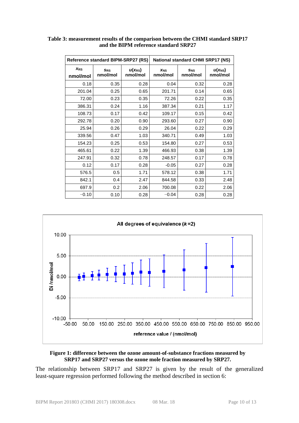| Reference standard BIPM-SRP27 (RS) |                      |                         | <b>National standard CHMI SRP17 (NS)</b> |                 |                         |  |
|------------------------------------|----------------------|-------------------------|------------------------------------------|-----------------|-------------------------|--|
| $X_{RS}$<br>nmol/mol               | $S_{RS}$<br>nmol/mol | $u(x_{RS})$<br>nmol/mol | X <sub>NS</sub><br>nmol/mol              | SNS<br>nmol/mol | $u(x_{NS})$<br>nmol/mol |  |
| 0.18                               | 0.35                 | 0.28                    | 0.04                                     | 0.32            | 0.28                    |  |
| 201.04                             | 0.25                 | 0.65                    | 201.71                                   | 0.14            | 0.65                    |  |
| 72.00                              | 0.23                 | 0.35                    | 72.26                                    | 0.22            | 0.35                    |  |
| 386.31                             | 0.24                 | 1.16                    | 387.34                                   | 0.21            | 1.17                    |  |
| 108.73                             | 0.17                 | 0.42                    | 109.17                                   | 0.15            | 0.42                    |  |
| 292.78                             | 0.20                 | 0.90                    | 293.60                                   | 0.27            | 0.90                    |  |
| 25.94                              | 0.26                 | 0.29                    | 26.04                                    | 0.22            | 0.29                    |  |
| 339.56                             | 0.47                 | 1.03                    | 340.71                                   | 0.49            | 1.03                    |  |
| 154.23                             | 0.25                 | 0.53                    | 154.80                                   | 0.27            | 0.53                    |  |
| 465.61                             | 0.22                 | 1.39                    | 466.93                                   | 0.38            | 1.39                    |  |
| 247.91                             | 0.32                 | 0.78                    | 248.57                                   | 0.17            | 0.78                    |  |
| 0.12                               | 0.17                 | 0.28                    | $-0.05$                                  | 0.27            | 0.28                    |  |
| 576.5                              | 0.5                  | 1.71                    | 578.12                                   | 0.38            | 1.71                    |  |
| 842.1                              | 0.4                  | 2.47                    | 844.58                                   | 0.33            | 2.48                    |  |
| 697.9                              | 0.2                  | 2.06                    | 700.08                                   | 0.22            | 2.06                    |  |
| $-0.10$                            | 0.10                 | 0.28                    | $-0.04$                                  | 0.28            | 0.28                    |  |

## <span id="page-9-0"></span>**Table 3: measurement results of the comparison between the CHMI standard SRP17 and the BIPM reference standard SRP27**



#### <span id="page-9-1"></span>**Figure 1: difference between the ozone amount-of-substance fractions measured by SRP17 and SRP27 versus the ozone mole fraction measured by SRP27.**

The relationship between SRP17 and SRP27 is given by the result of the generalized least-square regression performed following the method described in section [6:](#page-7-0)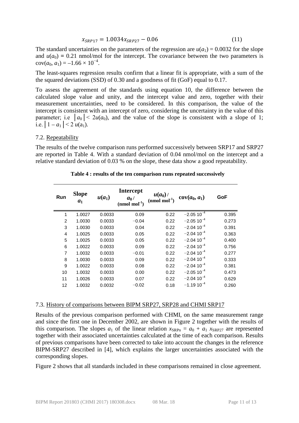$$
x_{SRP17} = 1.0034x_{SRP27} - 0.06\tag{11}
$$

The standard uncertainties on the parameters of the regression are  $u(a_1) = 0.0032$  for the slope and  $u(a_0) = 0.21$  nmol/mol for the intercept. The covariance between the two parameters is  $cov(a_0, a_1) = -1.66 \times 10^{-4}$ .

The least-squares regression results confirm that a linear fit is appropriate, with a sum of the the squared deviations (SSD) of 0.30 and a goodness of fit (GoF) equal to 0.17.

To assess the agreement of the standards using equation 10, the difference between the calculated slope value and unity, and the intercept value and zero, together with their measurement uncertainties, need to be considered. In this comparison, the value of the intercept is consistent with an intercept of zero, considering the uncertainty in the value of this parameter; i.e  $|a_0| < 2u(a_0)$ , and the value of the slope is consistent with a slope of 1; i.e.  $|1 - a_1| < 2 u(a_1)$ .

### <span id="page-10-0"></span>7.2. Repeatability

<span id="page-10-2"></span>The results of the twelve comparison runs performed successively between SRP17 and SRP27 are reported in [Table 4.](#page-10-2) With a standard deviation of 0.04 nmol/mol on the intercept and a relative standard deviation of 0.03 % on the slope, these data show a good repeatability.

| Run            | <b>Slope</b><br>a <sub>1</sub> | $u(a_1)$ | <b>Intercept</b><br>$a_0/$<br>$(nmol mol-1)$ | $u(a_0)$<br>$(nmol mol-1)$ | $cov(a_0, a_1)$ | GoF   |
|----------------|--------------------------------|----------|----------------------------------------------|----------------------------|-----------------|-------|
| 1              | 1.0027                         | 0.0033   | 0.09                                         | 0.22                       | $-2.05110^{-4}$ | 0.395 |
| 2              | 1.0030                         | 0.0033   | $-0.04$                                      | 0.22                       | $-2.05110^{-4}$ | 0.273 |
| 3              | 1.0030                         | 0.0033   | 0.04                                         | 0.22                       | $-2.0410^{-4}$  | 0.391 |
| $\overline{4}$ | 1.0025                         | 0.0033   | 0.05                                         | 0.22                       | $-2.04110^{-4}$ | 0.363 |
| 5              | 1.0025                         | 0.0033   | 0.05                                         | 0.22                       | $-2.0410^{-4}$  | 0.400 |
| 6              | 1.0022                         | 0.0033   | 0.09                                         | 0.22                       | $-2.0410^{-4}$  | 0.756 |
| $\overline{7}$ | 1.0032                         | 0.0033   | $-0.01$                                      | 0.22                       | $-2.0410^{-4}$  | 0.277 |
| 8              | 1.0030                         | 0.0033   | 0.09                                         | 0.22                       | $-2.04110^{-4}$ | 0.333 |
| 9              | 1.0022                         | 0.0033   | 0.08                                         | 0.22                       | $-2.0410^{-4}$  | 0.381 |
| 10             | 1.0032                         | 0.0033   | 0.00                                         | 0.22                       | $-2.05110^{-4}$ | 0.473 |
| 11             | 1.0026                         | 0.0033   | 0.07                                         | 0.22                       | $-2.0410^{-4}$  | 0.629 |
| 12             | 1.0032                         | 0.0032   | $-0.02$                                      | 0.18                       | $-1.1910^{-4}$  | 0.260 |

#### **Table 4 : results of the ten comparison runs repeated successively**

#### <span id="page-10-1"></span>7.3. History of comparisons between BIPM SRP27, SRP28 and [CHMI](#page-1-0) [SRP17](#page-2-1)

Results of the previous comparison performed with [CHMI,](#page-1-0) on the same measurement range and since the first one in December 2002, are shown in [Figure 2](#page-11-0) together with the results of this comparison. The slopes  $a_1$  of the linear relation  $x_{\text{SRPn}} = a_0 + a_1 x_{\text{SRP27}}$  are represented together with their associated uncertainties calculated at the time of each comparison. Results of previous comparisons have been corrected to take into account the changes in the reference BIPM-SRP27 descri[bed in \[4\], which explains the larger uncertainties associated with the](#page-11-1)  corresponding slopes.

[Figure 2](#page-11-1) shows that all standards included in these comparisons remained in close agreement.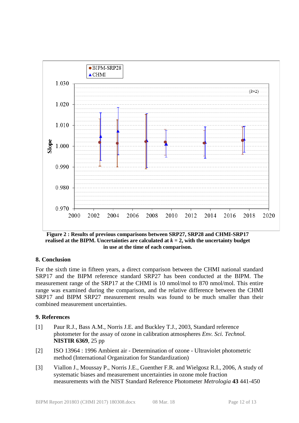<span id="page-11-1"></span><span id="page-11-0"></span>

**Figure 2 : Results of previous comparisons between SRP27, SRP28 and [CHMI](#page-1-0)[-SRP17](#page-2-1)** realised at the BIPM. Uncertainties are calculated at  $k = 2$ , with the uncertainty budget **in use at the time of each comparison.**

# **8. Conclusion**

For the sixth time in fifteen years, a direct comparison between the CHMI national standard SRP17 and the BIPM reference standard SRP27 has been conducted at the BIPM. The measurement range of the SRP17 at the CHMI is 10 nmol/mol to 870 nmol/mol. This entire range was examined during the comparison, and the relative difference between the CHMI SRP17 and BIPM SRP27 measurement results was found to be much smaller than their combined measurement uncertainties.

# **9. References**

- [1] Paur R.J., Bass A.M., Norris J.E. and Buckley T.J., 2003, Standard reference photometer for the assay of ozone in calibration atmospheres *Env. Sci. Technol.*  **NISTIR 6369**, 25 pp
- [2] ISO 13964 : 1996 Ambient air Determination of ozone Ultraviolet photometric method (International Organization for Standardization)
- [3] Viallon J., Moussay P., Norris J.E., Guenther F.R. and Wielgosz R.I., 2006, A study of systematic biases and measurement uncertainties in ozone mole fraction measurements with the NIST Standard Reference Photometer *Metrologia* **43** 441-450